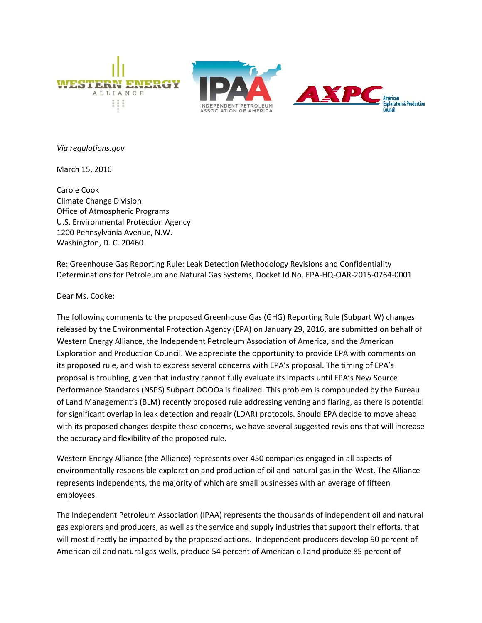





*Via regulations.gov*

March 15, 2016

Carole Cook Climate Change Division Office of Atmospheric Programs U.S. Environmental Protection Agency 1200 Pennsylvania Avenue, N.W. Washington, D. C. 20460

Re: Greenhouse Gas Reporting Rule: Leak Detection Methodology Revisions and Confidentiality Determinations for Petroleum and Natural Gas Systems, Docket Id No. EPA-HQ-OAR-2015-0764-0001

Dear Ms. Cooke:

The following comments to the proposed Greenhouse Gas (GHG) Reporting Rule (Subpart W) changes released by the Environmental Protection Agency (EPA) on January 29, 2016, are submitted on behalf of Western Energy Alliance, the Independent Petroleum Association of America, and the American Exploration and Production Council. We appreciate the opportunity to provide EPA with comments on its proposed rule, and wish to express several concerns with EPA's proposal. The timing of EPA's proposal is troubling, given that industry cannot fully evaluate its impacts until EPA's New Source Performance Standards (NSPS) Subpart OOOOa is finalized. This problem is compounded by the Bureau of Land Management's (BLM) recently proposed rule addressing venting and flaring, as there is potential for significant overlap in leak detection and repair (LDAR) protocols. Should EPA decide to move ahead with its proposed changes despite these concerns, we have several suggested revisions that will increase the accuracy and flexibility of the proposed rule.

Western Energy Alliance (the Alliance) represents over 450 companies engaged in all aspects of environmentally responsible exploration and production of oil and natural gas in the West. The Alliance represents independents, the majority of which are small businesses with an average of fifteen employees.

The Independent Petroleum Association (IPAA) represents the thousands of independent oil and natural gas explorers and producers, as well as the service and supply industries that support their efforts, that will most directly be impacted by the proposed actions. Independent producers develop 90 percent of American oil and natural gas wells, produce 54 percent of American oil and produce 85 percent of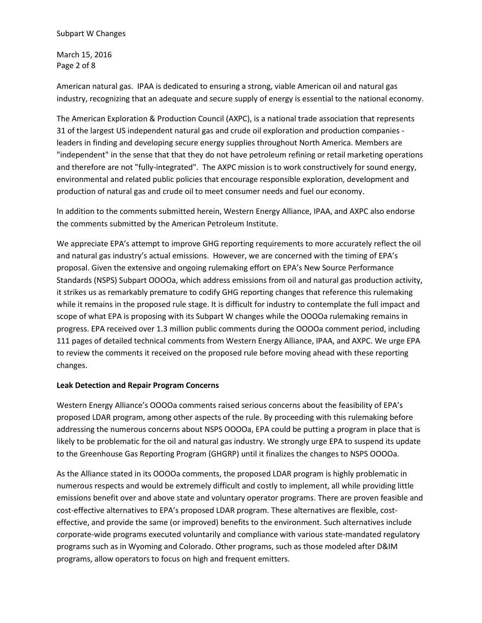March 15, 2016 Page 2 of 8

American natural gas. IPAA is dedicated to ensuring a strong, viable American oil and natural gas industry, recognizing that an adequate and secure supply of energy is essential to the national economy.

The American Exploration & Production Council (AXPC), is a national trade association that represents 31 of the largest US independent natural gas and crude oil exploration and production companies leaders in finding and developing secure energy supplies throughout North America. Members are "independent" in the sense that that they do not have petroleum refining or retail marketing operations and therefore are not "fully-integrated". The AXPC mission is to work constructively for sound energy, environmental and related public policies that encourage responsible exploration, development and production of natural gas and crude oil to meet consumer needs and fuel our economy.

In addition to the comments submitted herein, Western Energy Alliance, IPAA, and AXPC also endorse the comments submitted by the American Petroleum Institute.

We appreciate EPA's attempt to improve GHG reporting requirements to more accurately reflect the oil and natural gas industry's actual emissions. However, we are concerned with the timing of EPA's proposal. Given the extensive and ongoing rulemaking effort on EPA's New Source Performance Standards (NSPS) Subpart OOOOa, which address emissions from oil and natural gas production activity, it strikes us as remarkably premature to codify GHG reporting changes that reference this rulemaking while it remains in the proposed rule stage. It is difficult for industry to contemplate the full impact and scope of what EPA is proposing with its Subpart W changes while the OOOOa rulemaking remains in progress. EPA received over 1.3 million public comments during the OOOOa comment period, including 111 pages of detailed technical comments from Western Energy Alliance, IPAA, and AXPC. We urge EPA to review the comments it received on the proposed rule before moving ahead with these reporting changes.

# **Leak Detection and Repair Program Concerns**

Western Energy Alliance's OOOOa comments raised serious concerns about the feasibility of EPA's proposed LDAR program, among other aspects of the rule. By proceeding with this rulemaking before addressing the numerous concerns about NSPS OOOOa, EPA could be putting a program in place that is likely to be problematic for the oil and natural gas industry. We strongly urge EPA to suspend its update to the Greenhouse Gas Reporting Program (GHGRP) until it finalizes the changes to NSPS OOOOa.

As the Alliance stated in its OOOOa comments, the proposed LDAR program is highly problematic in numerous respects and would be extremely difficult and costly to implement, all while providing little emissions benefit over and above state and voluntary operator programs. There are proven feasible and cost-effective alternatives to EPA's proposed LDAR program. These alternatives are flexible, costeffective, and provide the same (or improved) benefits to the environment. Such alternatives include corporate-wide programs executed voluntarily and compliance with various state-mandated regulatory programs such as in Wyoming and Colorado. Other programs, such as those modeled after D&IM programs, allow operators to focus on high and frequent emitters.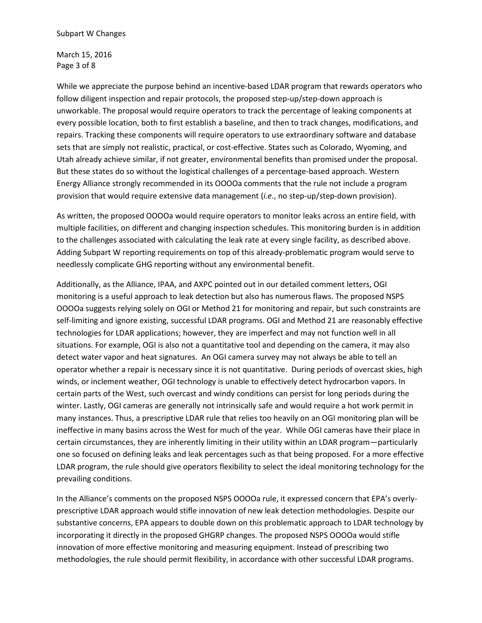March 15, 2016 Page 3 of 8

While we appreciate the purpose behind an incentive-based LDAR program that rewards operators who follow diligent inspection and repair protocols, the proposed step-up/step-down approach is unworkable. The proposal would require operators to track the percentage of leaking components at every possible location, both to first establish a baseline, and then to track changes, modifications, and repairs. Tracking these components will require operators to use extraordinary software and database sets that are simply not realistic, practical, or cost-effective. States such as Colorado, Wyoming, and Utah already achieve similar, if not greater, environmental benefits than promised under the proposal. But these states do so without the logistical challenges of a percentage-based approach. Western Energy Alliance strongly recommended in its OOOOa comments that the rule not include a program provision that would require extensive data management (*i.e.*, no step-up/step-down provision).

As written, the proposed OOOOa would require operators to monitor leaks across an entire field, with multiple facilities, on different and changing inspection schedules. This monitoring burden is in addition to the challenges associated with calculating the leak rate at every single facility, as described above. Adding Subpart W reporting requirements on top of this already-problematic program would serve to needlessly complicate GHG reporting without any environmental benefit.

Additionally, as the Alliance, IPAA, and AXPC pointed out in our detailed comment letters, OGI monitoring is a useful approach to leak detection but also has numerous flaws. The proposed NSPS OOOOa suggests relying solely on OGI or Method 21 for monitoring and repair, but such constraints are self-limiting and ignore existing, successful LDAR programs. OGI and Method 21 are reasonably effective technologies for LDAR applications; however, they are imperfect and may not function well in all situations. For example, OGI is also not a quantitative tool and depending on the camera, it may also detect water vapor and heat signatures. An OGI camera survey may not always be able to tell an operator whether a repair is necessary since it is not quantitative. During periods of overcast skies, high winds, or inclement weather, OGI technology is unable to effectively detect hydrocarbon vapors. In certain parts of the West, such overcast and windy conditions can persist for long periods during the winter. Lastly, OGI cameras are generally not intrinsically safe and would require a hot work permit in many instances. Thus, a prescriptive LDAR rule that relies too heavily on an OGI monitoring plan will be ineffective in many basins across the West for much of the year. While OGI cameras have their place in certain circumstances, they are inherently limiting in their utility within an LDAR program—particularly one so focused on defining leaks and leak percentages such as that being proposed. For a more effective LDAR program, the rule should give operators flexibility to select the ideal monitoring technology for the prevailing conditions.

In the Alliance's comments on the proposed NSPS OOOOa rule, it expressed concern that EPA's overlyprescriptive LDAR approach would stifle innovation of new leak detection methodologies. Despite our substantive concerns, EPA appears to double down on this problematic approach to LDAR technology by incorporating it directly in the proposed GHGRP changes. The proposed NSPS OOOOa would stifle innovation of more effective monitoring and measuring equipment. Instead of prescribing two methodologies, the rule should permit flexibility, in accordance with other successful LDAR programs.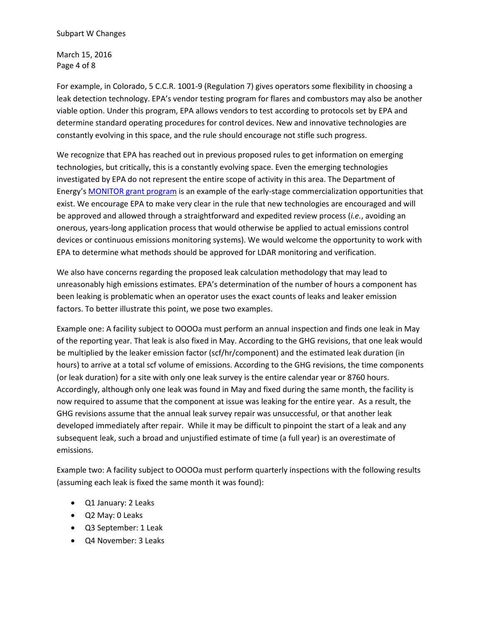March 15, 2016 Page 4 of 8

For example, in Colorado, 5 C.C.R. 1001-9 (Regulation 7) gives operators some flexibility in choosing a leak detection technology. EPA's vendor testing program for flares and combustors may also be another viable option. Under this program, EPA allows vendors to test according to protocols set by EPA and determine standard operating procedures for control devices. New and innovative technologies are constantly evolving in this space, and the rule should encourage not stifle such progress.

We recognize that EPA has reached out in previous proposed rules to get information on emerging technologies, but critically, this is a constantly evolving space. Even the emerging technologies investigated by EPA do not represent the entire scope of activity in this area. The Department of Energy's [MONITOR grant program](http://www.grants.gov/web/grants/view-opportunity.html?oppId=281811) is an example of the early-stage commercialization opportunities that exist. We encourage EPA to make very clear in the rule that new technologies are encouraged and will be approved and allowed through a straightforward and expedited review process (*i.e.*, avoiding an onerous, years-long application process that would otherwise be applied to actual emissions control devices or continuous emissions monitoring systems). We would welcome the opportunity to work with EPA to determine what methods should be approved for LDAR monitoring and verification.

We also have concerns regarding the proposed leak calculation methodology that may lead to unreasonably high emissions estimates. EPA's determination of the number of hours a component has been leaking is problematic when an operator uses the exact counts of leaks and leaker emission factors. To better illustrate this point, we pose two examples.

Example one: A facility subject to OOOOa must perform an annual inspection and finds one leak in May of the reporting year. That leak is also fixed in May. According to the GHG revisions, that one leak would be multiplied by the leaker emission factor (scf/hr/component) and the estimated leak duration (in hours) to arrive at a total scf volume of emissions. According to the GHG revisions, the time components (or leak duration) for a site with only one leak survey is the entire calendar year or 8760 hours. Accordingly, although only one leak was found in May and fixed during the same month, the facility is now required to assume that the component at issue was leaking for the entire year. As a result, the GHG revisions assume that the annual leak survey repair was unsuccessful, or that another leak developed immediately after repair. While it may be difficult to pinpoint the start of a leak and any subsequent leak, such a broad and unjustified estimate of time (a full year) is an overestimate of emissions.

Example two: A facility subject to OOOOa must perform quarterly inspections with the following results (assuming each leak is fixed the same month it was found):

- Q1 January: 2 Leaks
- Q2 May: 0 Leaks
- Q3 September: 1 Leak
- Q4 November: 3 Leaks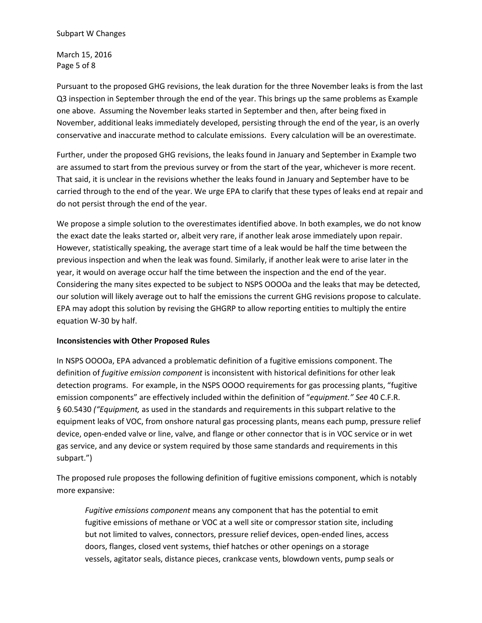March 15, 2016 Page 5 of 8

Pursuant to the proposed GHG revisions, the leak duration for the three November leaks is from the last Q3 inspection in September through the end of the year. This brings up the same problems as Example one above. Assuming the November leaks started in September and then, after being fixed in November, additional leaks immediately developed, persisting through the end of the year, is an overly conservative and inaccurate method to calculate emissions. Every calculation will be an overestimate.

Further, under the proposed GHG revisions, the leaks found in January and September in Example two are assumed to start from the previous survey or from the start of the year, whichever is more recent. That said, it is unclear in the revisions whether the leaks found in January and September have to be carried through to the end of the year. We urge EPA to clarify that these types of leaks end at repair and do not persist through the end of the year.

We propose a simple solution to the overestimates identified above. In both examples, we do not know the exact date the leaks started or, albeit very rare, if another leak arose immediately upon repair. However, statistically speaking, the average start time of a leak would be half the time between the previous inspection and when the leak was found. Similarly, if another leak were to arise later in the year, it would on average occur half the time between the inspection and the end of the year. Considering the many sites expected to be subject to NSPS OOOOa and the leaks that may be detected, our solution will likely average out to half the emissions the current GHG revisions propose to calculate. EPA may adopt this solution by revising the GHGRP to allow reporting entities to multiply the entire equation W-30 by half.

# **Inconsistencies with Other Proposed Rules**

In NSPS OOOOa, EPA advanced a problematic definition of a fugitive emissions component. The definition of *fugitive emission component* is inconsistent with historical definitions for other leak detection programs. For example, in the NSPS OOOO requirements for gas processing plants, "fugitive emission components" are effectively included within the definition of "*equipment." See* 40 C.F.R. § 60.5430 *("Equipment,* as used in the standards and requirements in this subpart relative to the equipment leaks of VOC, from onshore natural gas processing plants, means each pump, pressure relief device, open-ended valve or line, valve, and flange or other connector that is in VOC service or in wet gas service, and any device or system required by those same standards and requirements in this subpart.")

The proposed rule proposes the following definition of fugitive emissions component, which is notably more expansive:

*Fugitive emissions component* means any component that has the potential to emit fugitive emissions of methane or VOC at a well site or compressor station site, including but not limited to valves, connectors, pressure relief devices, open-ended lines, access doors, flanges, closed vent systems, thief hatches or other openings on a storage vessels, agitator seals, distance pieces, crankcase vents, blowdown vents, pump seals or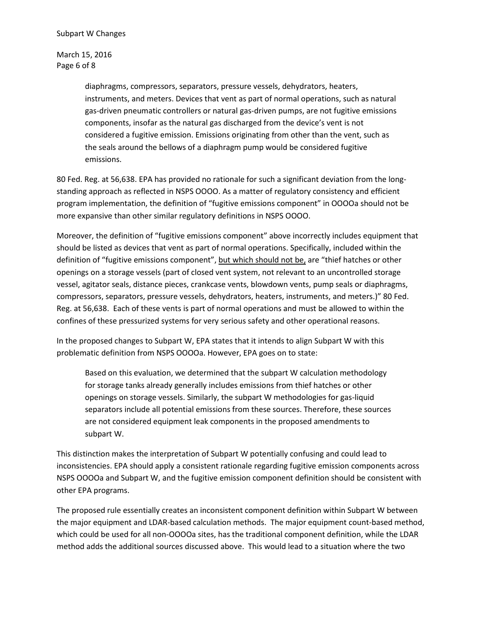March 15, 2016 Page 6 of 8

> diaphragms, compressors, separators, pressure vessels, dehydrators, heaters, instruments, and meters. Devices that vent as part of normal operations, such as natural gas-driven pneumatic controllers or natural gas-driven pumps, are not fugitive emissions components, insofar as the natural gas discharged from the device's vent is not considered a fugitive emission. Emissions originating from other than the vent, such as the seals around the bellows of a diaphragm pump would be considered fugitive emissions.

80 Fed. Reg. at 56,638. EPA has provided no rationale for such a significant deviation from the longstanding approach as reflected in NSPS OOOO. As a matter of regulatory consistency and efficient program implementation, the definition of "fugitive emissions component" in OOOOa should not be more expansive than other similar regulatory definitions in NSPS OOOO.

Moreover, the definition of "fugitive emissions component" above incorrectly includes equipment that should be listed as devices that vent as part of normal operations. Specifically, included within the definition of "fugitive emissions component", but which should not be, are "thief hatches or other openings on a storage vessels (part of closed vent system, not relevant to an uncontrolled storage vessel, agitator seals, distance pieces, crankcase vents, blowdown vents, pump seals or diaphragms, compressors, separators, pressure vessels, dehydrators, heaters, instruments, and meters.)" 80 Fed. Reg. at 56,638. Each of these vents is part of normal operations and must be allowed to within the confines of these pressurized systems for very serious safety and other operational reasons.

In the proposed changes to Subpart W, EPA states that it intends to align Subpart W with this problematic definition from NSPS OOOOa. However, EPA goes on to state:

Based on this evaluation, we determined that the subpart W calculation methodology for storage tanks already generally includes emissions from thief hatches or other openings on storage vessels. Similarly, the subpart W methodologies for gas-liquid separators include all potential emissions from these sources. Therefore, these sources are not considered equipment leak components in the proposed amendments to subpart W.

This distinction makes the interpretation of Subpart W potentially confusing and could lead to inconsistencies. EPA should apply a consistent rationale regarding fugitive emission components across NSPS OOOOa and Subpart W, and the fugitive emission component definition should be consistent with other EPA programs.

The proposed rule essentially creates an inconsistent component definition within Subpart W between the major equipment and LDAR-based calculation methods. The major equipment count-based method, which could be used for all non-OOOOa sites, has the traditional component definition, while the LDAR method adds the additional sources discussed above. This would lead to a situation where the two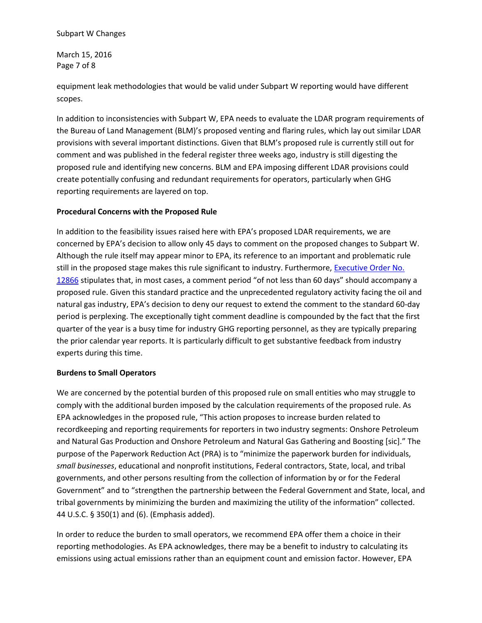## Subpart W Changes

March 15, 2016 Page 7 of 8

equipment leak methodologies that would be valid under Subpart W reporting would have different scopes.

In addition to inconsistencies with Subpart W, EPA needs to evaluate the LDAR program requirements of the Bureau of Land Management (BLM)'s proposed venting and flaring rules, which lay out similar LDAR provisions with several important distinctions. Given that BLM's proposed rule is currently still out for comment and was published in the federal register three weeks ago, industry is still digesting the proposed rule and identifying new concerns. BLM and EPA imposing different LDAR provisions could create potentially confusing and redundant requirements for operators, particularly when GHG reporting requirements are layered on top.

## **Procedural Concerns with the Proposed Rule**

In addition to the feasibility issues raised here with EPA's proposed LDAR requirements, we are concerned by EPA's decision to allow only 45 days to comment on the proposed changes to Subpart W. Although the rule itself may appear minor to EPA, its reference to an important and problematic rule still in the proposed stage makes this rule significant to industry. Furthermore, Executive Order No. [12866](https://www.whitehouse.gov/sites/default/files/omb/inforeg/eo12866/eo12866_10041993.pdf) stipulates that, in most cases, a comment period "of not less than 60 days" should accompany a proposed rule. Given this standard practice and the unprecedented regulatory activity facing the oil and natural gas industry, EPA's decision to deny our request to extend the comment to the standard 60-day period is perplexing. The exceptionally tight comment deadline is compounded by the fact that the first quarter of the year is a busy time for industry GHG reporting personnel, as they are typically preparing the prior calendar year reports. It is particularly difficult to get substantive feedback from industry experts during this time.

# **Burdens to Small Operators**

We are concerned by the potential burden of this proposed rule on small entities who may struggle to comply with the additional burden imposed by the calculation requirements of the proposed rule. As EPA acknowledges in the proposed rule, "This action proposes to increase burden related to recordkeeping and reporting requirements for reporters in two industry segments: Onshore Petroleum and Natural Gas Production and Onshore Petroleum and Natural Gas Gathering and Boosting [sic]." The purpose of the Paperwork Reduction Act (PRA) is to "minimize the paperwork burden for individuals, *small businesses*, educational and nonprofit institutions, Federal contractors, State, local, and tribal governments, and other persons resulting from the collection of information by or for the Federal Government" and to "strengthen the partnership between the Federal Government and State, local, and tribal governments by minimizing the burden and maximizing the utility of the information" collected. 44 U.S.C. § 350(1) and (6). (Emphasis added).

In order to reduce the burden to small operators, we recommend EPA offer them a choice in their reporting methodologies. As EPA acknowledges, there may be a benefit to industry to calculating its emissions using actual emissions rather than an equipment count and emission factor. However, EPA